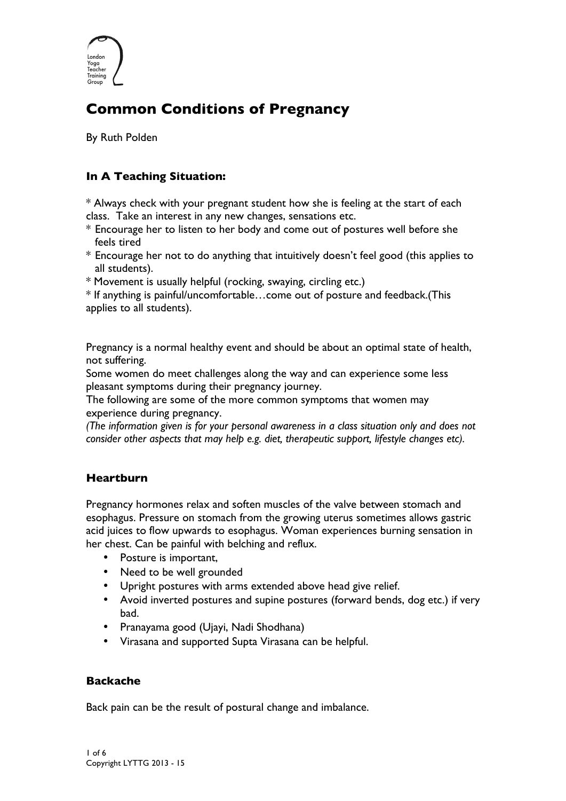

# **Common Conditions of Pregnancy**

By Ruth Polden

# **In A Teaching Situation:**

\* Always check with your pregnant student how she is feeling at the start of each class. Take an interest in any new changes, sensations etc.

- \* Encourage her to listen to her body and come out of postures well before she feels tired
- \* Encourage her not to do anything that intuitively doesn't feel good (this applies to all students).
- \* Movement is usually helpful (rocking, swaying, circling etc.)

\* If anything is painful/uncomfortable…come out of posture and feedback.(This applies to all students).

Pregnancy is a normal healthy event and should be about an optimal state of health, not suffering.

Some women do meet challenges along the way and can experience some less pleasant symptoms during their pregnancy journey.

The following are some of the more common symptoms that women may experience during pregnancy.

*(The information given is for your personal awareness in a class situation only and does not consider other aspects that may help e.g. diet, therapeutic support, lifestyle changes etc).*

## **Heartburn**

Pregnancy hormones relax and soften muscles of the valve between stomach and esophagus. Pressure on stomach from the growing uterus sometimes allows gastric acid juices to flow upwards to esophagus. Woman experiences burning sensation in her chest. Can be painful with belching and reflux.

- Posture is important,
- Need to be well grounded
- Upright postures with arms extended above head give relief.
- Avoid inverted postures and supine postures (forward bends, dog etc.) if very bad.
- Pranayama good (Ujayi, Nadi Shodhana)
- Virasana and supported Supta Virasana can be helpful.

## **Backache**

Back pain can be the result of postural change and imbalance.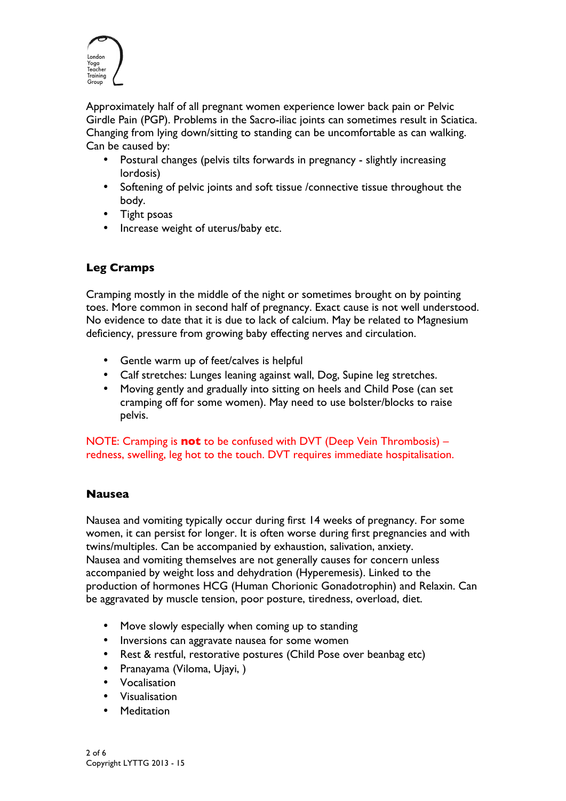

Approximately half of all pregnant women experience lower back pain or Pelvic Girdle Pain (PGP). Problems in the Sacro-iliac joints can sometimes result in Sciatica. Changing from lying down/sitting to standing can be uncomfortable as can walking. Can be caused by:

- Postural changes (pelvis tilts forwards in pregnancy slightly increasing lordosis)
- Softening of pelvic joints and soft tissue /connective tissue throughout the body.
- Tight psoas
- Increase weight of uterus/baby etc.

# **Leg Cramps**

Cramping mostly in the middle of the night or sometimes brought on by pointing toes. More common in second half of pregnancy. Exact cause is not well understood. No evidence to date that it is due to lack of calcium. May be related to Magnesium deficiency, pressure from growing baby effecting nerves and circulation.

- Gentle warm up of feet/calves is helpful
- Calf stretches: Lunges leaning against wall, Dog, Supine leg stretches.
- Moving gently and gradually into sitting on heels and Child Pose (can set cramping off for some women). May need to use bolster/blocks to raise pelvis.

NOTE: Cramping is **not** to be confused with DVT (Deep Vein Thrombosis) – redness, swelling, leg hot to the touch. DVT requires immediate hospitalisation.

## **Nausea**

Nausea and vomiting typically occur during first 14 weeks of pregnancy. For some women, it can persist for longer. It is often worse during first pregnancies and with twins/multiples. Can be accompanied by exhaustion, salivation, anxiety. Nausea and vomiting themselves are not generally causes for concern unless accompanied by weight loss and dehydration (Hyperemesis). Linked to the production of hormones HCG (Human Chorionic Gonadotrophin) and Relaxin. Can be aggravated by muscle tension, poor posture, tiredness, overload, diet.

- Move slowly especially when coming up to standing
- Inversions can aggravate nausea for some women
- Rest & restful, restorative postures (Child Pose over beanbag etc)
- Pranayama (Viloma, Ujayi, )
- Vocalisation
- Visualisation
- **Meditation**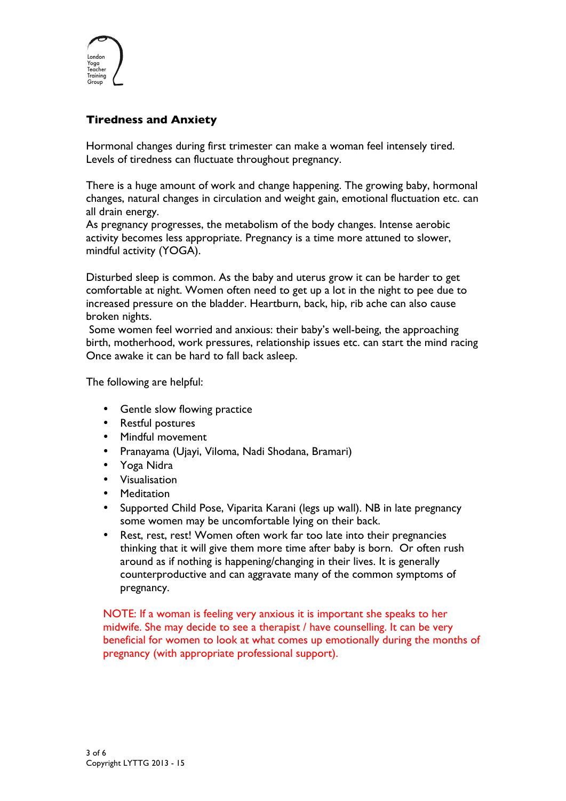

# **Tiredness and Anxiety**

Hormonal changes during first trimester can make a woman feel intensely tired. Levels of tiredness can fluctuate throughout pregnancy.

There is a huge amount of work and change happening. The growing baby, hormonal changes, natural changes in circulation and weight gain, emotional fluctuation etc. can all drain energy.

As pregnancy progresses, the metabolism of the body changes. Intense aerobic activity becomes less appropriate. Pregnancy is a time more attuned to slower, mindful activity (YOGA).

Disturbed sleep is common. As the baby and uterus grow it can be harder to get comfortable at night. Women often need to get up a lot in the night to pee due to increased pressure on the bladder. Heartburn, back, hip, rib ache can also cause broken nights.

Some women feel worried and anxious: their baby's well-being, the approaching birth, motherhood, work pressures, relationship issues etc. can start the mind racing Once awake it can be hard to fall back asleep.

The following are helpful:

- Gentle slow flowing practice
- Restful postures
- Mindful movement
- Pranayama (Ujayi, Viloma, Nadi Shodana, Bramari)
- Yoga Nidra
- Visualisation
- Meditation
- Supported Child Pose, Viparita Karani (legs up wall). NB in late pregnancy some women may be uncomfortable lying on their back.
- Rest, rest, rest! Women often work far too late into their pregnancies thinking that it will give them more time after baby is born. Or often rush around as if nothing is happening/changing in their lives. It is generally counterproductive and can aggravate many of the common symptoms of pregnancy.

NOTE: If a woman is feeling very anxious it is important she speaks to her midwife. She may decide to see a therapist / have counselling. It can be very beneficial for women to look at what comes up emotionally during the months of pregnancy (with appropriate professional support).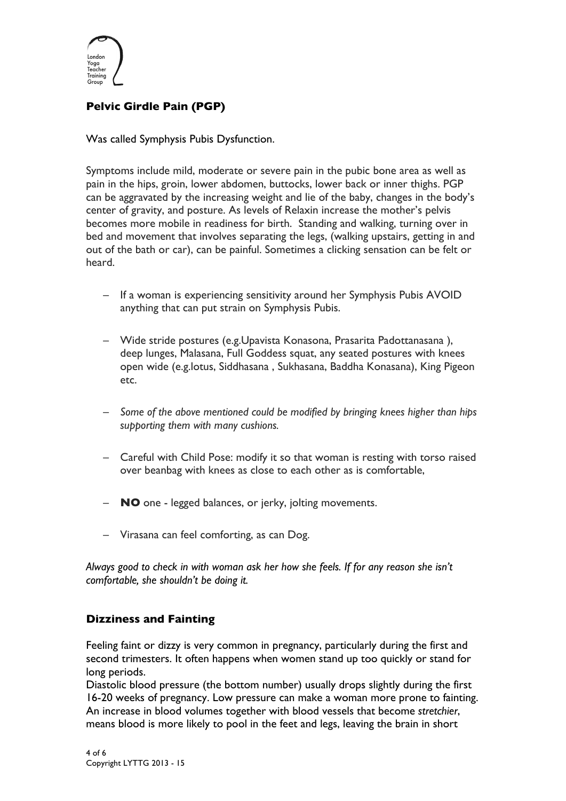

# **Pelvic Girdle Pain (PGP)**

Was called Symphysis Pubis Dysfunction.

Symptoms include mild, moderate or severe pain in the pubic bone area as well as pain in the hips, groin, lower abdomen, buttocks, lower back or inner thighs. PGP can be aggravated by the increasing weight and lie of the baby, changes in the body's center of gravity, and posture. As levels of Relaxin increase the mother's pelvis becomes more mobile in readiness for birth. Standing and walking, turning over in bed and movement that involves separating the legs, (walking upstairs, getting in and out of the bath or car), can be painful. Sometimes a clicking sensation can be felt or heard.

- If a woman is experiencing sensitivity around her Symphysis Pubis AVOID anything that can put strain on Symphysis Pubis.
- Wide stride postures (e.g.Upavista Konasona, Prasarita Padottanasana ), deep lunges, Malasana, Full Goddess squat, any seated postures with knees open wide (e.g.lotus, Siddhasana , Sukhasana, Baddha Konasana), King Pigeon etc.
- *Some of the above mentioned could be modified by bringing knees higher than hips supporting them with many cushions.*
- Careful with Child Pose: modify it so that woman is resting with torso raised over beanbag with knees as close to each other as is comfortable,
- **NO** one legged balances, or jerky, jolting movements.
- Virasana can feel comforting, as can Dog.

*Always good to check in with woman ask her how she feels. If for any reason she isn't comfortable, she shouldn't be doing it.*

## **Dizziness and Fainting**

Feeling faint or dizzy is very common in pregnancy, particularly during the first and second trimesters. It often happens when women stand up too quickly or stand for long periods.

Diastolic blood pressure (the bottom number) usually drops slightly during the first 16-20 weeks of pregnancy. Low pressure can make a woman more prone to fainting. An increase in blood volumes together with blood vessels that become *stretchier*, means blood is more likely to pool in the feet and legs, leaving the brain in short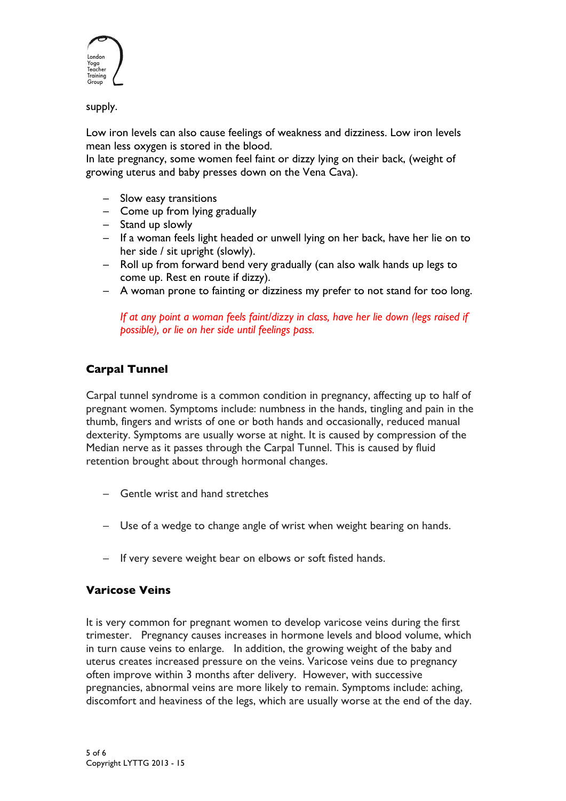

supply.

Low iron levels can also cause feelings of weakness and dizziness. Low iron levels mean less oxygen is stored in the blood.

In late pregnancy, some women feel faint or dizzy lying on their back, (weight of growing uterus and baby presses down on the Vena Cava).

- Slow easy transitions
- Come up from lying gradually
- Stand up slowly
- If a woman feels light headed or unwell lying on her back, have her lie on to her side / sit upright (slowly).
- Roll up from forward bend very gradually (can also walk hands up legs to come up. Rest en route if dizzy).
- A woman prone to fainting or dizziness my prefer to not stand for too long.

*If at any point a woman feels faint/dizzy in class, have her lie down (legs raised if possible), or lie on her side until feelings pass.*

# **Carpal Tunnel**

Carpal tunnel syndrome is a common condition in pregnancy, affecting up to half of pregnant women. Symptoms include: numbness in the hands, tingling and pain in the thumb, fingers and wrists of one or both hands and occasionally, reduced manual dexterity. Symptoms are usually worse at night. It is caused by compression of the Median nerve as it passes through the Carpal Tunnel. This is caused by fluid retention brought about through hormonal changes.

- Gentle wrist and hand stretches
- Use of a wedge to change angle of wrist when weight bearing on hands.
- If very severe weight bear on elbows or soft fisted hands.

## **Varicose Veins**

It is very common for pregnant women to develop varicose veins during the first trimester. Pregnancy causes increases in hormone levels and blood volume, which in turn cause veins to enlarge. In addition, the growing weight of the baby and uterus creates increased pressure on the veins. Varicose veins due to pregnancy often improve within 3 months after delivery. However, with successive pregnancies, abnormal veins are more likely to remain. Symptoms include: aching, discomfort and heaviness of the legs, which are usually worse at the end of the day.